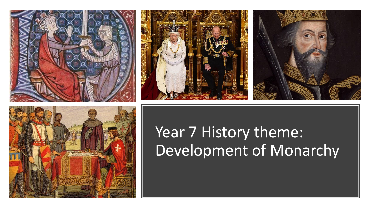







# Year 7 History theme: Development of Monarchy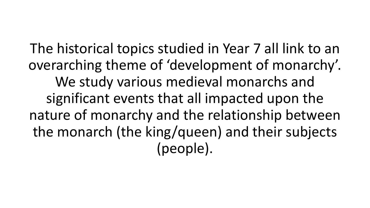The historical topics studied in Year 7 all link to an overarching theme of 'development of monarchy'. We study various medieval monarchs and significant events that all impacted upon the nature of monarchy and the relationship between the monarch (the king/queen) and their subjects (people).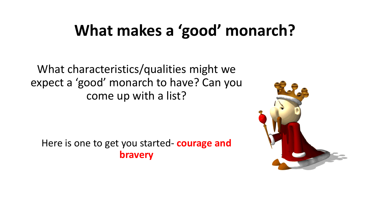## **What makes a 'good' monarch?**

What characteristics/qualities might we expect a 'good' monarch to have? Can you come up with a list?

Here is one to get you started- **courage and bravery**

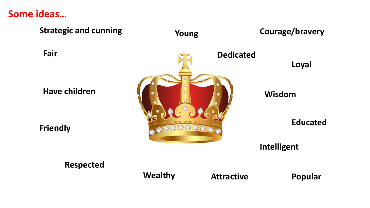#### **Some ideas…**

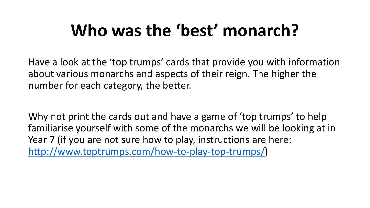# **Who was the 'best' monarch?**

Have a look at the 'top trumps' cards that provide you with information about various monarchs and aspects of their reign. The higher the number for each category, the better.

Why not print the cards out and have a game of 'top trumps' to help familiarise yourself with some of the monarchs we will be looking at in Year 7 (if you are not sure how to play, instructions are here: <http://www.toptrumps.com/how-to-play-top-trumps/>)